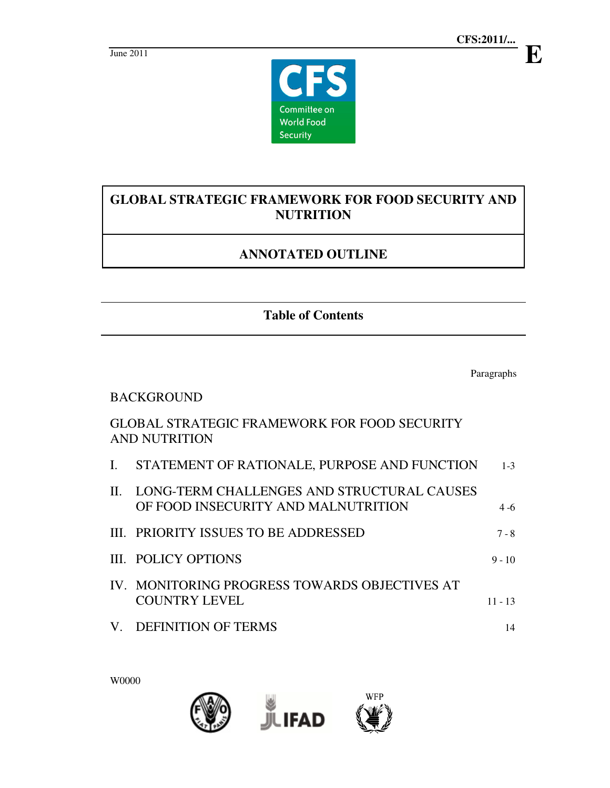

# **GLOBAL STRATEGIC FRAMEWORK FOR FOOD SECURITY AND NUTRITION**

# **ANNOTATED OUTLINE**

**Table of Contents** 

Paragraphs

### BACKGROUND

## GLOBAL STRATEGIC FRAMEWORK FOR FOOD SECURITY AND NUTRITION

|    | I. STATEMENT OF RATIONALE, PURPOSE AND FUNCTION                                   | $1 - 3$   |
|----|-----------------------------------------------------------------------------------|-----------|
| H. | LONG-TERM CHALLENGES AND STRUCTURAL CAUSES<br>OF FOOD INSECURITY AND MALNUTRITION | $4 - 6$   |
|    | III. PRIORITY ISSUES TO BE ADDRESSED                                              | $7 - 8$   |
|    | III. POLICY OPTIONS                                                               | $9 - 10$  |
|    | IV. MONITORING PROGRESS TOWARDS OBJECTIVES AT<br><b>COUNTRY LEVEL</b>             | $11 - 13$ |
|    | <b>BRUDING THE CALL OF BRUD</b> I                                                 |           |

V. DEFINITION OF TERMS 14

W0000



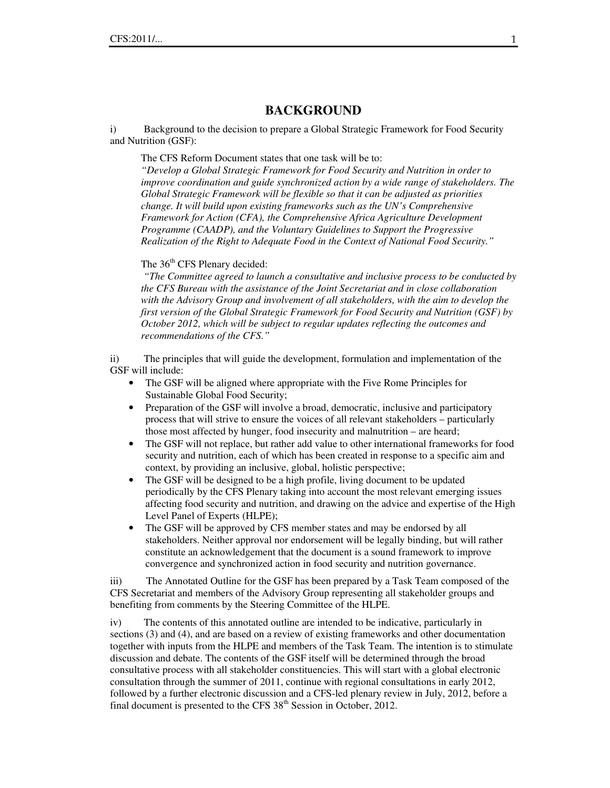### **BACKGROUND**

i) Background to the decision to prepare a Global Strategic Framework for Food Security and Nutrition (GSF):

The CFS Reform Document states that one task will be to:

*"Develop a Global Strategic Framework for Food Security and Nutrition in order to improve coordination and guide synchronized action by a wide range of stakeholders. The Global Strategic Framework will be flexible so that it can be adjusted as priorities change. It will build upon existing frameworks such as the UN's Comprehensive Framework for Action (CFA), the Comprehensive Africa Agriculture Development Programme (CAADP), and the Voluntary Guidelines to Support the Progressive Realization of the Right to Adequate Food in the Context of National Food Security."* 

The 36<sup>th</sup> CFS Plenary decided:

 *"The Committee agreed to launch a consultative and inclusive process to be conducted by the CFS Bureau with the assistance of the Joint Secretariat and in close collaboration with the Advisory Group and involvement of all stakeholders, with the aim to develop the first version of the Global Strategic Framework for Food Security and Nutrition (GSF) by October 2012, which will be subject to regular updates reflecting the outcomes and recommendations of the CFS."* 

ii) The principles that will guide the development, formulation and implementation of the GSF will include:

- The GSF will be aligned where appropriate with the Five Rome Principles for Sustainable Global Food Security;
- Preparation of the GSF will involve a broad, democratic, inclusive and participatory process that will strive to ensure the voices of all relevant stakeholders – particularly those most affected by hunger, food insecurity and malnutrition – are heard;
- The GSF will not replace, but rather add value to other international frameworks for food security and nutrition, each of which has been created in response to a specific aim and context, by providing an inclusive, global, holistic perspective;
- The GSF will be designed to be a high profile, living document to be updated periodically by the CFS Plenary taking into account the most relevant emerging issues affecting food security and nutrition, and drawing on the advice and expertise of the High Level Panel of Experts (HLPE);
- The GSF will be approved by CFS member states and may be endorsed by all stakeholders. Neither approval nor endorsement will be legally binding, but will rather constitute an acknowledgement that the document is a sound framework to improve convergence and synchronized action in food security and nutrition governance.

iii) The Annotated Outline for the GSF has been prepared by a Task Team composed of the CFS Secretariat and members of the Advisory Group representing all stakeholder groups and benefiting from comments by the Steering Committee of the HLPE.

iv) The contents of this annotated outline are intended to be indicative, particularly in sections (3) and (4), and are based on a review of existing frameworks and other documentation together with inputs from the HLPE and members of the Task Team. The intention is to stimulate discussion and debate. The contents of the GSF itself will be determined through the broad consultative process with all stakeholder constituencies. This will start with a global electronic consultation through the summer of 2011, continue with regional consultations in early 2012, followed by a further electronic discussion and a CFS-led plenary review in July, 2012, before a final document is presented to the CFS  $38<sup>th</sup>$  Session in October, 2012.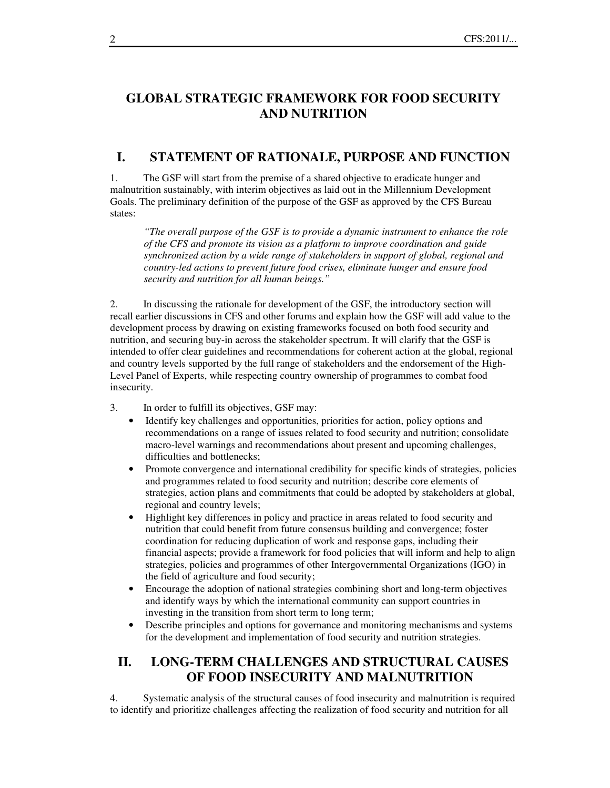#### **GLOBAL STRATEGIC FRAMEWORK FOR FOOD SECURITY AND NUTRITION**

#### **I. STATEMENT OF RATIONALE, PURPOSE AND FUNCTION**

1. The GSF will start from the premise of a shared objective to eradicate hunger and malnutrition sustainably, with interim objectives as laid out in the Millennium Development Goals. The preliminary definition of the purpose of the GSF as approved by the CFS Bureau states:

*"The overall purpose of the GSF is to provide a dynamic instrument to enhance the role of the CFS and promote its vision as a platform to improve coordination and guide synchronized action by a wide range of stakeholders in support of global, regional and country-led actions to prevent future food crises, eliminate hunger and ensure food security and nutrition for all human beings."* 

2. In discussing the rationale for development of the GSF, the introductory section will recall earlier discussions in CFS and other forums and explain how the GSF will add value to the development process by drawing on existing frameworks focused on both food security and nutrition, and securing buy-in across the stakeholder spectrum. It will clarify that the GSF is intended to offer clear guidelines and recommendations for coherent action at the global, regional and country levels supported by the full range of stakeholders and the endorsement of the High-Level Panel of Experts, while respecting country ownership of programmes to combat food insecurity.

- 3. In order to fulfill its objectives, GSF may:
	- Identify key challenges and opportunities, priorities for action, policy options and recommendations on a range of issues related to food security and nutrition; consolidate macro-level warnings and recommendations about present and upcoming challenges, difficulties and bottlenecks;
	- Promote convergence and international credibility for specific kinds of strategies, policies and programmes related to food security and nutrition; describe core elements of strategies, action plans and commitments that could be adopted by stakeholders at global, regional and country levels;
	- Highlight key differences in policy and practice in areas related to food security and nutrition that could benefit from future consensus building and convergence; foster coordination for reducing duplication of work and response gaps, including their financial aspects; provide a framework for food policies that will inform and help to align strategies, policies and programmes of other Intergovernmental Organizations (IGO) in the field of agriculture and food security;
	- Encourage the adoption of national strategies combining short and long-term objectives and identify ways by which the international community can support countries in investing in the transition from short term to long term;
	- Describe principles and options for governance and monitoring mechanisms and systems for the development and implementation of food security and nutrition strategies.

## **II. LONG-TERM CHALLENGES AND STRUCTURAL CAUSES OF FOOD INSECURITY AND MALNUTRITION**

4. Systematic analysis of the structural causes of food insecurity and malnutrition is required to identify and prioritize challenges affecting the realization of food security and nutrition for all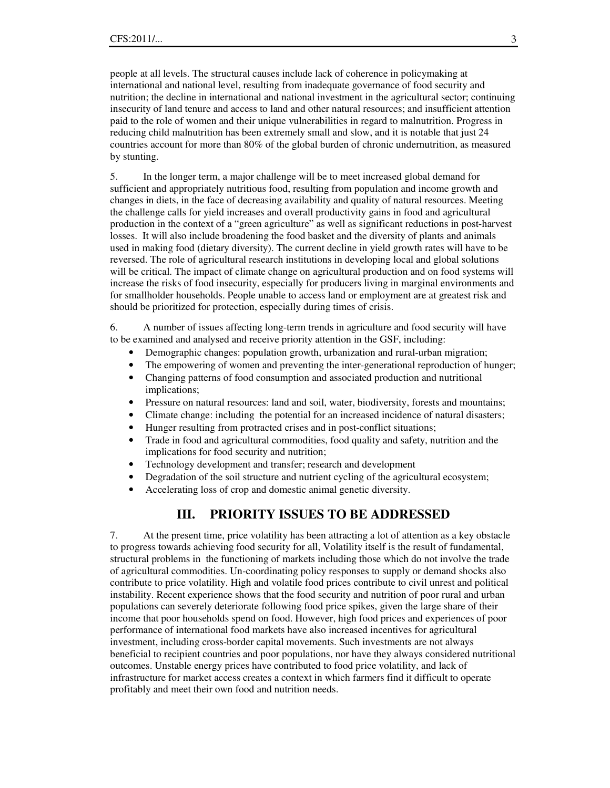people at all levels. The structural causes include lack of coherence in policymaking at international and national level, resulting from inadequate governance of food security and nutrition; the decline in international and national investment in the agricultural sector; continuing insecurity of land tenure and access to land and other natural resources; and insufficient attention paid to the role of women and their unique vulnerabilities in regard to malnutrition. Progress in reducing child malnutrition has been extremely small and slow, and it is notable that just 24 countries account for more than 80% of the global burden of chronic undernutrition, as measured by stunting.

5. In the longer term, a major challenge will be to meet increased global demand for sufficient and appropriately nutritious food, resulting from population and income growth and changes in diets, in the face of decreasing availability and quality of natural resources. Meeting the challenge calls for yield increases and overall productivity gains in food and agricultural production in the context of a "green agriculture" as well as significant reductions in post-harvest losses. It will also include broadening the food basket and the diversity of plants and animals used in making food (dietary diversity). The current decline in yield growth rates will have to be reversed. The role of agricultural research institutions in developing local and global solutions will be critical. The impact of climate change on agricultural production and on food systems will increase the risks of food insecurity, especially for producers living in marginal environments and for smallholder households. People unable to access land or employment are at greatest risk and should be prioritized for protection, especially during times of crisis.

6. A number of issues affecting long-term trends in agriculture and food security will have to be examined and analysed and receive priority attention in the GSF, including:

- Demographic changes: population growth, urbanization and rural-urban migration;
- The empowering of women and preventing the inter-generational reproduction of hunger;
- Changing patterns of food consumption and associated production and nutritional implications;
- Pressure on natural resources: land and soil, water, biodiversity, forests and mountains;
- Climate change: including the potential for an increased incidence of natural disasters;
- Hunger resulting from protracted crises and in post-conflict situations;
- Trade in food and agricultural commodities, food quality and safety, nutrition and the implications for food security and nutrition;
- Technology development and transfer; research and development
- Degradation of the soil structure and nutrient cycling of the agricultural ecosystem;
- Accelerating loss of crop and domestic animal genetic diversity.

#### **III. PRIORITY ISSUES TO BE ADDRESSED**

7. At the present time, price volatility has been attracting a lot of attention as a key obstacle to progress towards achieving food security for all, Volatility itself is the result of fundamental, structural problems in the functioning of markets including those which do not involve the trade of agricultural commodities. Un-coordinating policy responses to supply or demand shocks also contribute to price volatility. High and volatile food prices contribute to civil unrest and political instability. Recent experience shows that the food security and nutrition of poor rural and urban populations can severely deteriorate following food price spikes, given the large share of their income that poor households spend on food. However, high food prices and experiences of poor performance of international food markets have also increased incentives for agricultural investment, including cross-border capital movements. Such investments are not always beneficial to recipient countries and poor populations, nor have they always considered nutritional outcomes. Unstable energy prices have contributed to food price volatility, and lack of infrastructure for market access creates a context in which farmers find it difficult to operate profitably and meet their own food and nutrition needs.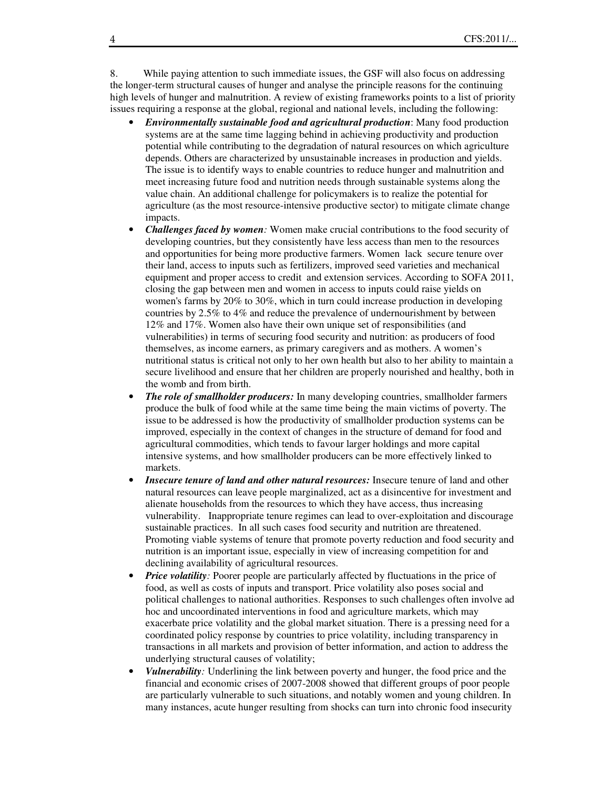8. While paying attention to such immediate issues, the GSF will also focus on addressing the longer-term structural causes of hunger and analyse the principle reasons for the continuing high levels of hunger and malnutrition. A review of existing frameworks points to a list of priority issues requiring a response at the global, regional and national levels, including the following:

- *Environmentally sustainable food and agricultural production*: Many food production systems are at the same time lagging behind in achieving productivity and production potential while contributing to the degradation of natural resources on which agriculture depends. Others are characterized by unsustainable increases in production and yields. The issue is to identify ways to enable countries to reduce hunger and malnutrition and meet increasing future food and nutrition needs through sustainable systems along the value chain. An additional challenge for policymakers is to realize the potential for agriculture (as the most resource-intensive productive sector) to mitigate climate change impacts.
- *Challenges faced by women:* Women make crucial contributions to the food security of developing countries, but they consistently have less access than men to the resources and opportunities for being more productive farmers. Women lack secure tenure over their land, access to inputs such as fertilizers, improved seed varieties and mechanical equipment and proper access to credit and extension services. According to SOFA 2011, closing the gap between men and women in access to inputs could raise yields on women's farms by 20% to 30%, which in turn could increase production in developing countries by 2.5% to 4% and reduce the prevalence of undernourishment by between 12% and 17%. Women also have their own unique set of responsibilities (and vulnerabilities) in terms of securing food security and nutrition: as producers of food themselves, as income earners, as primary caregivers and as mothers. A women's nutritional status is critical not only to her own health but also to her ability to maintain a secure livelihood and ensure that her children are properly nourished and healthy, both in the womb and from birth.
- *The role of smallholder producers:* In many developing countries, smallholder farmers produce the bulk of food while at the same time being the main victims of poverty. The issue to be addressed is how the productivity of smallholder production systems can be improved, especially in the context of changes in the structure of demand for food and agricultural commodities, which tends to favour larger holdings and more capital intensive systems, and how smallholder producers can be more effectively linked to markets.
- *Insecure tenure of land and other natural resources:* Insecure tenure of land and other natural resources can leave people marginalized, act as a disincentive for investment and alienate households from the resources to which they have access, thus increasing vulnerability. Inappropriate tenure regimes can lead to over-exploitation and discourage sustainable practices. In all such cases food security and nutrition are threatened. Promoting viable systems of tenure that promote poverty reduction and food security and nutrition is an important issue, especially in view of increasing competition for and declining availability of agricultural resources.
- *Price volatility*: Poorer people are particularly affected by fluctuations in the price of food, as well as costs of inputs and transport. Price volatility also poses social and political challenges to national authorities. Responses to such challenges often involve ad hoc and uncoordinated interventions in food and agriculture markets, which may exacerbate price volatility and the global market situation. There is a pressing need for a coordinated policy response by countries to price volatility, including transparency in transactions in all markets and provision of better information, and action to address the underlying structural causes of volatility;
- *Vulnerability:* Underlining the link between poverty and hunger, the food price and the financial and economic crises of 2007-2008 showed that different groups of poor people are particularly vulnerable to such situations, and notably women and young children. In many instances, acute hunger resulting from shocks can turn into chronic food insecurity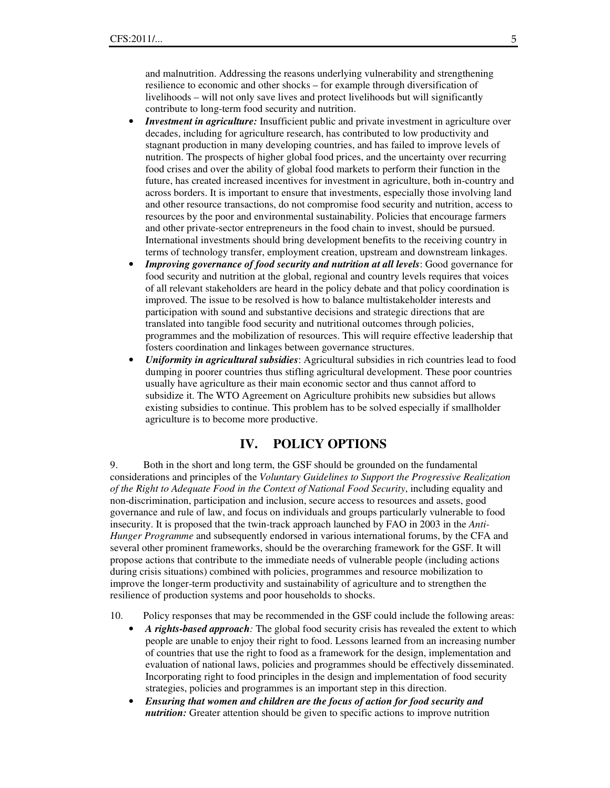and malnutrition. Addressing the reasons underlying vulnerability and strengthening resilience to economic and other shocks – for example through diversification of livelihoods – will not only save lives and protect livelihoods but will significantly contribute to long-term food security and nutrition.

- *Investment in agriculture:* Insufficient public and private investment in agriculture over decades, including for agriculture research, has contributed to low productivity and stagnant production in many developing countries, and has failed to improve levels of nutrition. The prospects of higher global food prices, and the uncertainty over recurring food crises and over the ability of global food markets to perform their function in the future, has created increased incentives for investment in agriculture, both in-country and across borders. It is important to ensure that investments, especially those involving land and other resource transactions, do not compromise food security and nutrition, access to resources by the poor and environmental sustainability. Policies that encourage farmers and other private-sector entrepreneurs in the food chain to invest, should be pursued. International investments should bring development benefits to the receiving country in terms of technology transfer, employment creation, upstream and downstream linkages.
- *Improving governance of food security and nutrition at all levels*: Good governance for food security and nutrition at the global, regional and country levels requires that voices of all relevant stakeholders are heard in the policy debate and that policy coordination is improved. The issue to be resolved is how to balance multistakeholder interests and participation with sound and substantive decisions and strategic directions that are translated into tangible food security and nutritional outcomes through policies, programmes and the mobilization of resources. This will require effective leadership that fosters coordination and linkages between governance structures.
- *Uniformity in agricultural subsidies*: Agricultural subsidies in rich countries lead to food dumping in poorer countries thus stifling agricultural development. These poor countries usually have agriculture as their main economic sector and thus cannot afford to subsidize it. The WTO Agreement on Agriculture prohibits new subsidies but allows existing subsidies to continue. This problem has to be solved especially if smallholder agriculture is to become more productive.

#### **IV. POLICY OPTIONS**

9. Both in the short and long term, the GSF should be grounded on the fundamental considerations and principles of the *Voluntary Guidelines to Support the Progressive Realization of the Right to Adequate Food in the Context of National Food Security*, including equality and non-discrimination, participation and inclusion, secure access to resources and assets, good governance and rule of law, and focus on individuals and groups particularly vulnerable to food insecurity. It is proposed that the twin-track approach launched by FAO in 2003 in the *Anti-Hunger Programme* and subsequently endorsed in various international forums, by the CFA and several other prominent frameworks, should be the overarching framework for the GSF. It will propose actions that contribute to the immediate needs of vulnerable people (including actions during crisis situations) combined with policies, programmes and resource mobilization to improve the longer-term productivity and sustainability of agriculture and to strengthen the resilience of production systems and poor households to shocks.

- 10. Policy responses that may be recommended in the GSF could include the following areas:
	- *A rights-based approach:* The global food security crisis has revealed the extent to which people are unable to enjoy their right to food. Lessons learned from an increasing number of countries that use the right to food as a framework for the design, implementation and evaluation of national laws, policies and programmes should be effectively disseminated. Incorporating right to food principles in the design and implementation of food security strategies, policies and programmes is an important step in this direction.
	- *Ensuring that women and children are the focus of action for food security and nutrition:* Greater attention should be given to specific actions to improve nutrition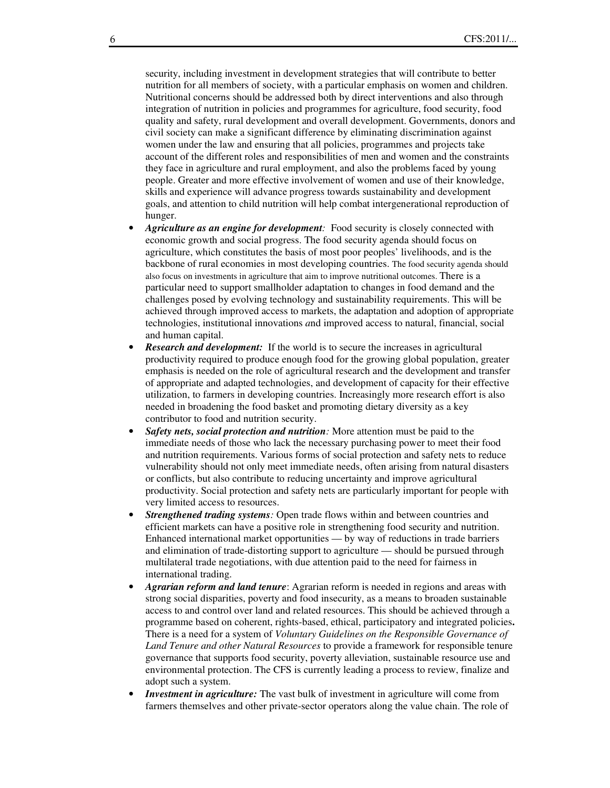security, including investment in development strategies that will contribute to better nutrition for all members of society, with a particular emphasis on women and children. Nutritional concerns should be addressed both by direct interventions and also through integration of nutrition in policies and programmes for agriculture, food security, food quality and safety, rural development and overall development. Governments, donors and civil society can make a significant difference by eliminating discrimination against women under the law and ensuring that all policies, programmes and projects take account of the different roles and responsibilities of men and women and the constraints they face in agriculture and rural employment, and also the problems faced by young people. Greater and more effective involvement of women and use of their knowledge, skills and experience will advance progress towards sustainability and development goals, and attention to child nutrition will help combat intergenerational reproduction of hunger.

- *Agriculture as an engine for development*: Food security is closely connected with economic growth and social progress. The food security agenda should focus on agriculture, which constitutes the basis of most poor peoples' livelihoods, and is the backbone of rural economies in most developing countries. The food security agenda should also focus on investments in agriculture that aim to improve nutritional outcomes. There is a particular need to support smallholder adaptation to changes in food demand and the challenges posed by evolving technology and sustainability requirements. This will be achieved through improved access to markets, the adaptation and adoption of appropriate technologies, institutional innovations *a*nd improved access to natural, financial, social and human capital.
- **Research and development:** If the world is to secure the increases in agricultural productivity required to produce enough food for the growing global population, greater emphasis is needed on the role of agricultural research and the development and transfer of appropriate and adapted technologies, and development of capacity for their effective utilization, to farmers in developing countries. Increasingly more research effort is also needed in broadening the food basket and promoting dietary diversity as a key contributor to food and nutrition security.
- *Safety nets, social protection and nutrition:* More attention must be paid to the immediate needs of those who lack the necessary purchasing power to meet their food and nutrition requirements. Various forms of social protection and safety nets to reduce vulnerability should not only meet immediate needs, often arising from natural disasters or conflicts, but also contribute to reducing uncertainty and improve agricultural productivity. Social protection and safety nets are particularly important for people with very limited access to resources.
- *Strengthened trading systems:* Open trade flows within and between countries and efficient markets can have a positive role in strengthening food security and nutrition. Enhanced international market opportunities — by way of reductions in trade barriers and elimination of trade-distorting support to agriculture — should be pursued through multilateral trade negotiations, with due attention paid to the need for fairness in international trading.
- *Agrarian reform and land tenure*: Agrarian reform is needed in regions and areas with strong social disparities, poverty and food insecurity, as a means to broaden sustainable access to and control over land and related resources. This should be achieved through a programme based on coherent, rights-based, ethical, participatory and integrated policies**.**  There is a need for a system of *Voluntary Guidelines on the Responsible Governance of Land Tenure and other Natural Resources* to provide a framework for responsible tenure governance that supports food security, poverty alleviation, sustainable resource use and environmental protection. The CFS is currently leading a process to review, finalize and adopt such a system.
- *Investment in agriculture:* The vast bulk of investment in agriculture will come from farmers themselves and other private-sector operators along the value chain. The role of